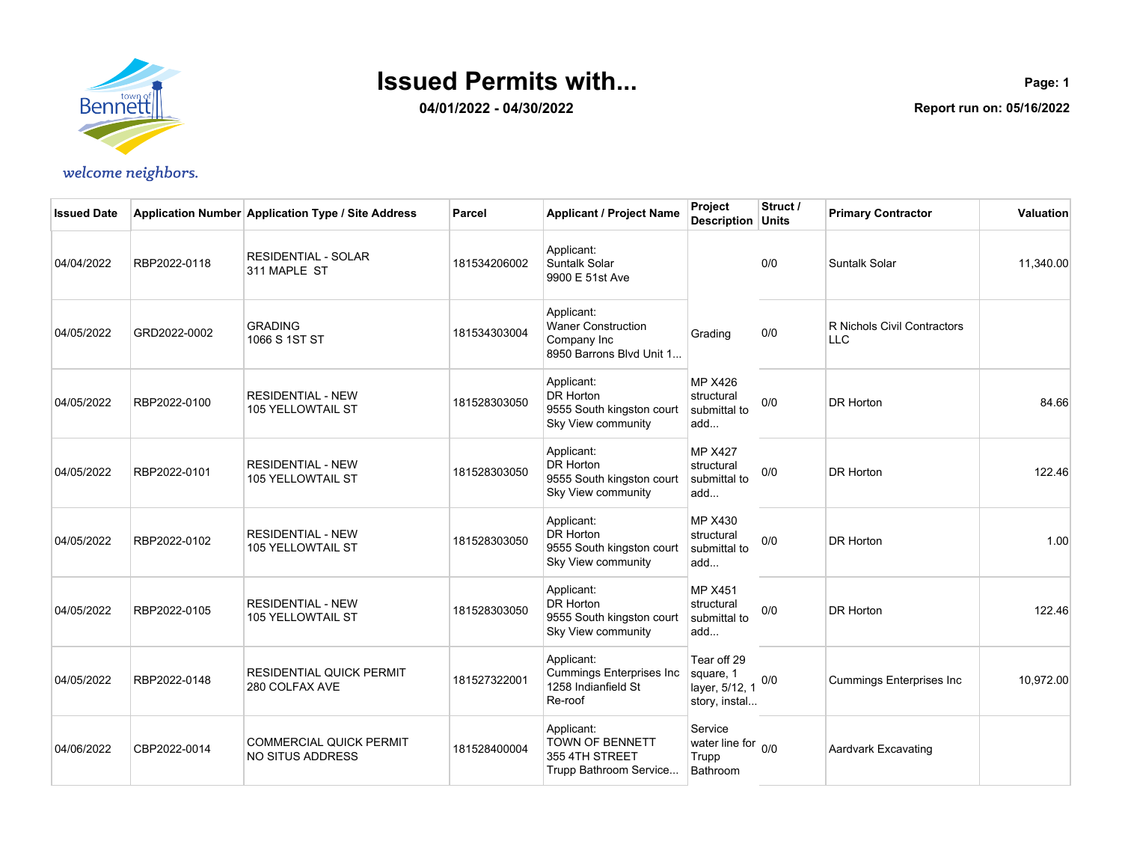

**04/01/2022 - 04/30/2022**

**Page: 1 Report run on: 05/16/2022**

| <b>Issued Date</b> |              | Application Number Application Type / Site Address   | Parcel       | <b>Applicant / Project Name</b>                                                    | Project<br><b>Description Units</b>                         | Struct / | <b>Primary Contractor</b>                 | <b>Valuation</b> |
|--------------------|--------------|------------------------------------------------------|--------------|------------------------------------------------------------------------------------|-------------------------------------------------------------|----------|-------------------------------------------|------------------|
| 04/04/2022         | RBP2022-0118 | <b>RESIDENTIAL - SOLAR</b><br>311 MAPLE ST           | 181534206002 | Applicant:<br>Suntalk Solar<br>9900 E 51st Ave                                     |                                                             | 0/0      | <b>Suntalk Solar</b>                      | 11,340.00        |
| 04/05/2022         | GRD2022-0002 | <b>GRADING</b><br>1066 S 1ST ST                      | 181534303004 | Applicant:<br><b>Waner Construction</b><br>Company Inc<br>8950 Barrons Blvd Unit 1 | Grading                                                     | 0/0      | R Nichols Civil Contractors<br><b>LLC</b> |                  |
| 04/05/2022         | RBP2022-0100 | <b>RESIDENTIAL - NEW</b><br>105 YELLOWTAIL ST        | 181528303050 | Applicant:<br>DR Horton<br>9555 South kingston court<br>Sky View community         | <b>MP X426</b><br>structural<br>submittal to<br>add         | 0/0      | <b>DR Horton</b>                          | 84.66            |
| 04/05/2022         | RBP2022-0101 | <b>RESIDENTIAL - NEW</b><br>105 YELLOWTAIL ST        | 181528303050 | Applicant:<br>DR Horton<br>9555 South kingston court<br>Sky View community         | <b>MP X427</b><br>structural<br>submittal to<br>add         | 0/0      | <b>DR Horton</b>                          | 122.46           |
| 04/05/2022         | RBP2022-0102 | <b>RESIDENTIAL - NEW</b><br><b>105 YELLOWTAIL ST</b> | 181528303050 | Applicant:<br><b>DR Horton</b><br>9555 South kingston court<br>Sky View community  | <b>MP X430</b><br>structural<br>submittal to<br>add         | 0/0      | <b>DR Horton</b>                          | 1.00             |
| 04/05/2022         | RBP2022-0105 | <b>RESIDENTIAL - NEW</b><br><b>105 YELLOWTAIL ST</b> | 181528303050 | Applicant:<br>DR Horton<br>9555 South kingston court<br>Sky View community         | <b>MP X451</b><br>structural<br>submittal to<br>add         | 0/0      | <b>DR Horton</b>                          | 122.46           |
| 04/05/2022         | RBP2022-0148 | <b>RESIDENTIAL QUICK PERMIT</b><br>280 COLFAX AVE    | 181527322001 | Applicant:<br><b>Cummings Enterprises Inc</b><br>1258 Indianfield St<br>Re-roof    | Tear off 29<br>square, 1<br>layer, 5/12, 1<br>story, instal | 0/0      | <b>Cummings Enterprises Inc.</b>          | 10,972.00        |
| 04/06/2022         | CBP2022-0014 | <b>COMMERCIAL QUICK PERMIT</b><br>NO SITUS ADDRESS   | 181528400004 | Applicant:<br>TOWN OF BENNETT<br>355 4TH STREET<br>Trupp Bathroom Service          | Service<br>water line for 0/0<br>Trupp<br>Bathroom          |          | Aardvark Excavating                       |                  |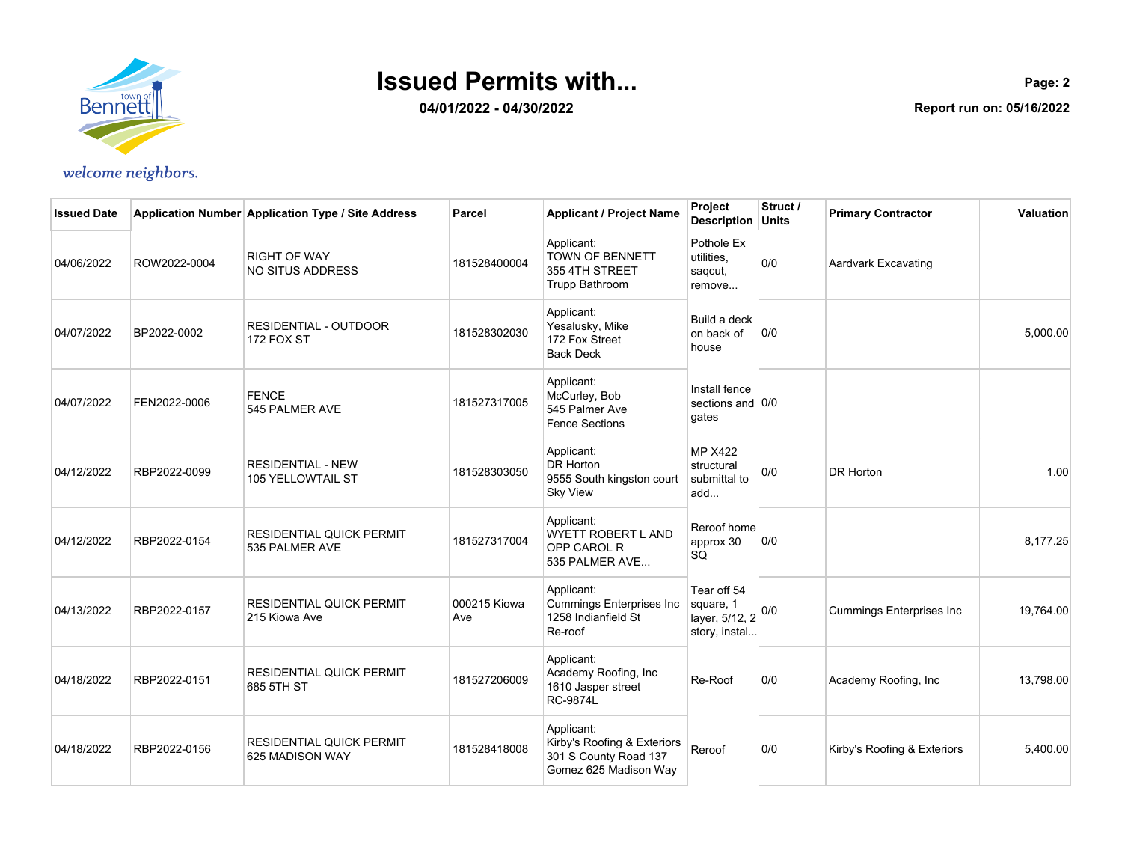

**04/01/2022 - 04/30/2022**

**Page: 2 Report run on: 05/16/2022**

| <b>Issued Date</b> |              | Application Number Application Type / Site Address   | Parcel              | <b>Applicant / Project Name</b>                                                             | <b>Project</b><br><b>Description Units</b>                  | Struct / | <b>Primary Contractor</b>       | <b>Valuation</b> |
|--------------------|--------------|------------------------------------------------------|---------------------|---------------------------------------------------------------------------------------------|-------------------------------------------------------------|----------|---------------------------------|------------------|
| 04/06/2022         | ROW2022-0004 | <b>RIGHT OF WAY</b><br>NO SITUS ADDRESS              | 181528400004        | Applicant:<br>TOWN OF BENNETT<br>355 4TH STREET<br>Trupp Bathroom                           | Pothole Ex<br>utilities.<br>sagcut,<br>remove               | 0/0      | Aardvark Excavating             |                  |
| 04/07/2022         | BP2022-0002  | <b>RESIDENTIAL - OUTDOOR</b><br>172 FOX ST           | 181528302030        | Applicant:<br>Yesalusky, Mike<br>172 Fox Street<br><b>Back Deck</b>                         | Build a deck<br>on back of<br>house                         | 0/0      |                                 | 5,000.00         |
| 04/07/2022         | FEN2022-0006 | <b>FENCE</b><br>545 PALMER AVE                       | 181527317005        | Applicant:<br>McCurley, Bob<br>545 Palmer Ave<br><b>Fence Sections</b>                      | Install fence<br>sections and 0/0<br>gates                  |          |                                 |                  |
| 04/12/2022         | RBP2022-0099 | <b>RESIDENTIAL - NEW</b><br><b>105 YELLOWTAIL ST</b> | 181528303050        | Applicant:<br>DR Horton<br>9555 South kingston court<br><b>Sky View</b>                     | <b>MP X422</b><br>structural<br>submittal to<br>add         | 0/0      | DR Horton                       | 1.00             |
| 04/12/2022         | RBP2022-0154 | <b>RESIDENTIAL QUICK PERMIT</b><br>535 PALMER AVE    | 181527317004        | Applicant:<br><b>WYETT ROBERT L AND</b><br>OPP CAROL R<br>535 PALMER AVE                    | Reroof home<br>approx 30<br>SQ                              | 0/0      |                                 | 8,177.25         |
| 04/13/2022         | RBP2022-0157 | <b>RESIDENTIAL QUICK PERMIT</b><br>215 Kiowa Ave     | 000215 Kiowa<br>Ave | Applicant:<br>Cummings Enterprises Inc<br>1258 Indianfield St<br>Re-roof                    | Tear off 54<br>square, 1<br>layer, 5/12, 2<br>story, instal | 0/0      | <b>Cummings Enterprises Inc</b> | 19,764.00        |
| 04/18/2022         | RBP2022-0151 | <b>RESIDENTIAL QUICK PERMIT</b><br>685 5TH ST        | 181527206009        | Applicant:<br>Academy Roofing, Inc<br>1610 Jasper street<br><b>RC-9874L</b>                 | Re-Roof                                                     | 0/0      | Academy Roofing, Inc            | 13,798.00        |
| 04/18/2022         | RBP2022-0156 | <b>RESIDENTIAL QUICK PERMIT</b><br>625 MADISON WAY   | 181528418008        | Applicant:<br>Kirby's Roofing & Exteriors<br>301 S County Road 137<br>Gomez 625 Madison Way | Reroof                                                      | 0/0      | Kirby's Roofing & Exteriors     | 5,400.00         |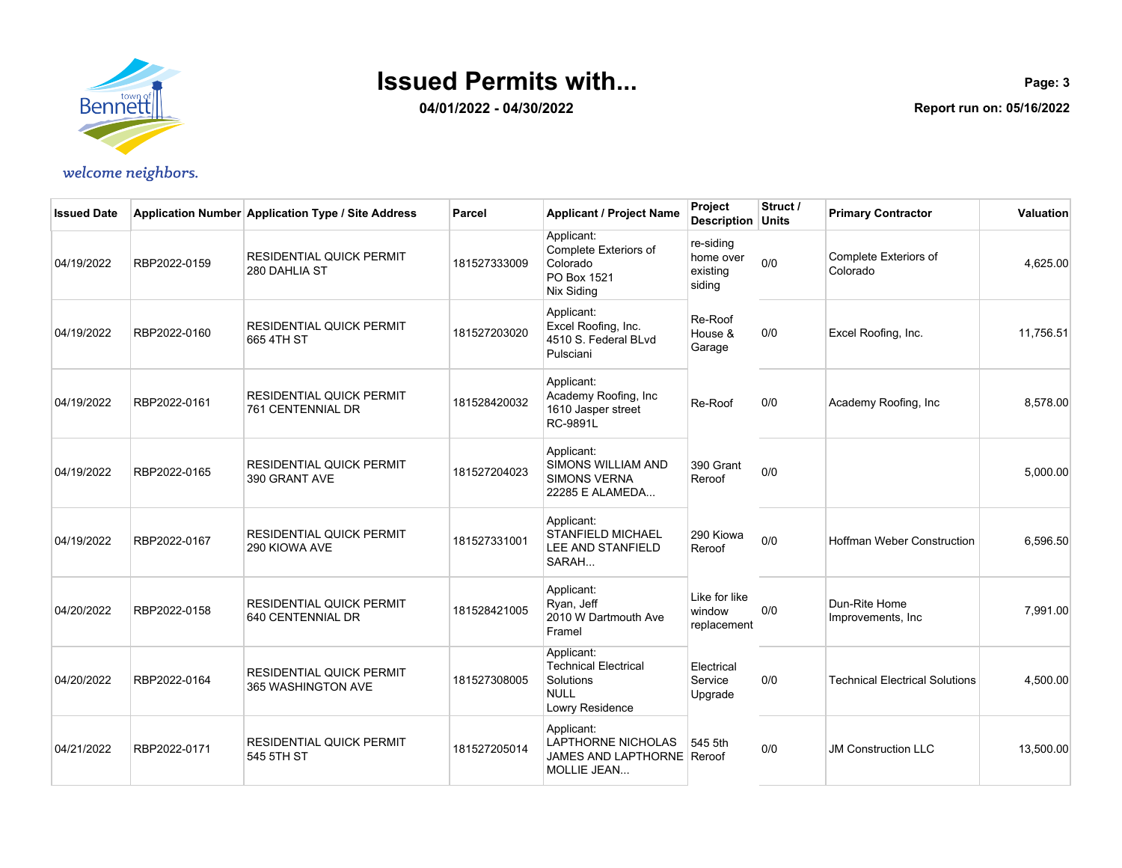

**04/01/2022 - 04/30/2022**

**Page: 3 Report run on: 05/16/2022**

| <b>Issued Date</b> |              | Application Number Application Type / Site Address    | Parcel       | <b>Applicant / Project Name</b>                                                          | <b>Project</b><br><b>Description Units</b>   | Struct / | <b>Primary Contractor</b>             | Valuation |
|--------------------|--------------|-------------------------------------------------------|--------------|------------------------------------------------------------------------------------------|----------------------------------------------|----------|---------------------------------------|-----------|
| 04/19/2022         | RBP2022-0159 | <b>RESIDENTIAL QUICK PERMIT</b><br>280 DAHLIA ST      | 181527333009 | Applicant:<br>Complete Exteriors of<br>Colorado<br>PO Box 1521<br>Nix Siding             | re-siding<br>home over<br>existing<br>siding | 0/0      | Complete Exteriors of<br>Colorado     | 4,625.00  |
| 04/19/2022         | RBP2022-0160 | <b>RESIDENTIAL QUICK PERMIT</b><br>665 4TH ST         | 181527203020 | Applicant:<br>Excel Roofing, Inc.<br>4510 S. Federal BLvd<br>Pulsciani                   | Re-Roof<br>House &<br>Garage                 | 0/0      | Excel Roofing, Inc.                   | 11,756.51 |
| 04/19/2022         | RBP2022-0161 | <b>RESIDENTIAL QUICK PERMIT</b><br>761 CENTENNIAL DR  | 181528420032 | Applicant:<br>Academy Roofing, Inc.<br>1610 Jasper street<br><b>RC-9891L</b>             | Re-Roof                                      | 0/0      | Academy Roofing, Inc.                 | 8,578.00  |
| 04/19/2022         | RBP2022-0165 | <b>RESIDENTIAL QUICK PERMIT</b><br>390 GRANT AVE      | 181527204023 | Applicant:<br>SIMONS WILLIAM AND<br><b>SIMONS VERNA</b><br>22285 E ALAMEDA               | 390 Grant<br>Reroof                          | 0/0      |                                       | 5,000.00  |
| 04/19/2022         | RBP2022-0167 | <b>RESIDENTIAL QUICK PERMIT</b><br>290 KIOWA AVE      | 181527331001 | Applicant:<br>STANFIELD MICHAEL<br>LEE AND STANFIELD<br>SARAH                            | 290 Kiowa<br>Reroof                          | 0/0      | <b>Hoffman Weber Construction</b>     | 6,596.50  |
| 04/20/2022         | RBP2022-0158 | <b>RESIDENTIAL QUICK PERMIT</b><br>640 CENTENNIAL DR  | 181528421005 | Applicant:<br>Ryan, Jeff<br>2010 W Dartmouth Ave<br>Framel                               | Like for like<br>window<br>replacement       | 0/0      | Dun-Rite Home<br>Improvements, Inc    | 7,991.00  |
| 04/20/2022         | RBP2022-0164 | <b>RESIDENTIAL QUICK PERMIT</b><br>365 WASHINGTON AVE | 181527308005 | Applicant:<br><b>Technical Electrical</b><br>Solutions<br><b>NULL</b><br>Lowry Residence | Electrical<br>Service<br>Upgrade             | 0/0      | <b>Technical Electrical Solutions</b> | 4,500.00  |
| 04/21/2022         | RBP2022-0171 | <b>RESIDENTIAL QUICK PERMIT</b><br>545 5TH ST         | 181527205014 | Applicant:<br>LAPTHORNE NICHOLAS<br>JAMES AND LAPTHORNE Reroof<br><b>MOLLIE JEAN</b>     | 545 5th                                      | 0/0      | <b>JM Construction LLC</b>            | 13,500.00 |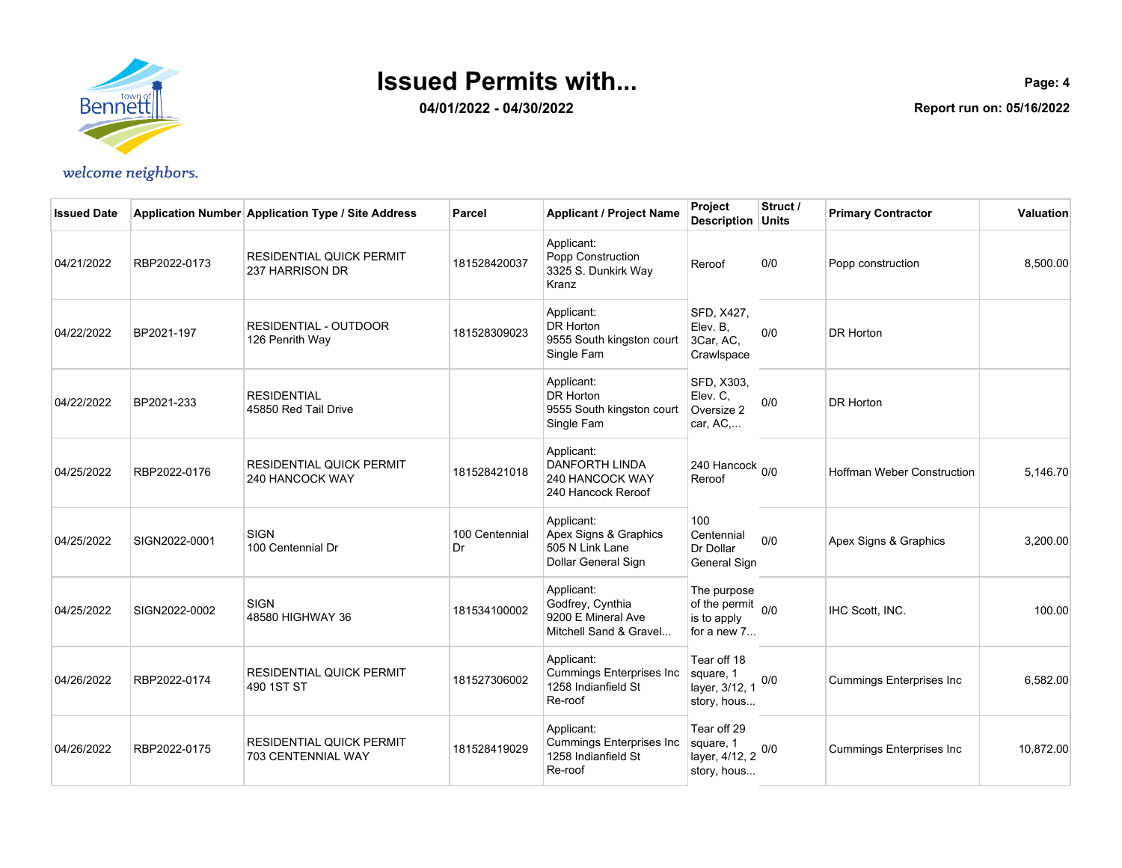

**04/01/2022 - 04/30/2022**

**Page: 4 Report run on: 05/16/2022**

| <b>Issued Date</b> |               | Application Number Application Type / Site Address    | Parcel               | <b>Applicant / Project Name</b>                                                 | Project<br><b>Description Units</b>                            | Struct / | <b>Primary Contractor</b>       | <b>Valuation</b> |
|--------------------|---------------|-------------------------------------------------------|----------------------|---------------------------------------------------------------------------------|----------------------------------------------------------------|----------|---------------------------------|------------------|
| 04/21/2022         | RBP2022-0173  | <b>RESIDENTIAL QUICK PERMIT</b><br>237 HARRISON DR    | 181528420037         | Applicant:<br>Popp Construction<br>3325 S. Dunkirk Way<br>Kranz                 | Reroof                                                         | 0/0      | Popp construction               | 8,500.00         |
| 04/22/2022         | BP2021-197    | <b>RESIDENTIAL - OUTDOOR</b><br>126 Penrith Way       | 181528309023         | Applicant:<br>DR Horton<br>9555 South kingston court<br>Single Fam              | SFD, X427,<br>Elev. B.<br>3Car, AC,<br>Crawlspace              | 0/0      | <b>DR Horton</b>                |                  |
| 04/22/2022         | BP2021-233    | <b>RESIDENTIAL</b><br>45850 Red Tail Drive            |                      | Applicant:<br>DR Horton<br>9555 South kingston court<br>Single Fam              | SFD, X303,<br>Elev. C,<br>Oversize 2<br>car, AC,               | 0/0      | <b>DR Horton</b>                |                  |
| 04/25/2022         | RBP2022-0176  | <b>RESIDENTIAL QUICK PERMIT</b><br>240 HANCOCK WAY    | 181528421018         | Applicant:<br><b>DANFORTH LINDA</b><br>240 HANCOCK WAY<br>240 Hancock Reroof    | 240 Hancock <sub>0/0</sub><br>Reroof                           |          | Hoffman Weber Construction      | 5,146.70         |
| 04/25/2022         | SIGN2022-0001 | <b>SIGN</b><br>100 Centennial Dr                      | 100 Centennial<br>Dr | Applicant:<br>Apex Signs & Graphics<br>505 N Link Lane<br>Dollar General Sign   | 100<br>Centennial<br>Dr Dollar<br>General Sign                 | 0/0      | Apex Signs & Graphics           | 3,200.00         |
| 04/25/2022         | SIGN2022-0002 | <b>SIGN</b><br>48580 HIGHWAY 36                       | 181534100002         | Applicant:<br>Godfrey, Cynthia<br>9200 E Mineral Ave<br>Mitchell Sand & Gravel  | The purpose<br>of the permit 0/0<br>is to apply<br>for a new 7 |          | IHC Scott, INC.                 | 100.00           |
| 04/26/2022         | RBP2022-0174  | <b>RESIDENTIAL QUICK PERMIT</b><br>490 1ST ST         | 181527306002         | Applicant:<br><b>Cummings Enterprises Inc</b><br>1258 Indianfield St<br>Re-roof | Tear off 18<br>square, 1<br>layer, 3/12, 1<br>story, hous      | 0/0      | Cummings Enterprises Inc        | 6,582.00         |
| 04/26/2022         | RBP2022-0175  | <b>RESIDENTIAL QUICK PERMIT</b><br>703 CENTENNIAL WAY | 181528419029         | Applicant:<br><b>Cummings Enterprises Inc</b><br>1258 Indianfield St<br>Re-roof | Tear off 29<br>square, 1<br>layer, 4/12, 2<br>story, hous      | 0/0      | <b>Cummings Enterprises Inc</b> | 10,872.00        |